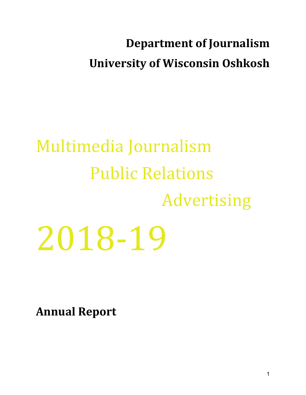# **Department of Journalism University of Wisconsin Oshkosh**

# Multimedia Journalism Public Relations Advertising 2018-19

**Annual Report**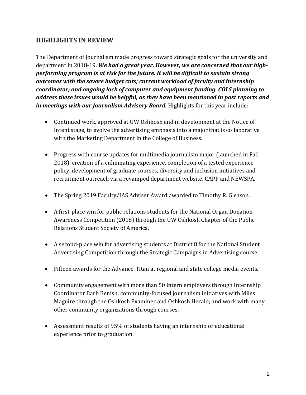# **HIGHLIGHTS IN REVIEW**

The Department of Journalism made progress toward strategic goals for the university and department in 2018-19. We had a great year. However, we are concerned that our highperforming program is at risk for the future. It will be difficult to sustain strong outcomes with the severe budget cuts; current workload of faculty and internship *coordinator;* and ongoing lack of computer and equipment funding. COLS planning to *address these issues would be helpful, as they have been mentioned in past reports and in* meetings with our *Journalism Advisory Board.* Highlights for this year include:

- Continued work, approved at UW Oshkosh and in development at the Notice of Intent stage, to evolve the advertising emphasis into a major that is collaborative with the Marketing Department in the College of Business.
- Progress with course updates for multimedia journalism major (launched in Fall 2018), creation of a culminating experience, completion of a tested experience policy, development of graduate courses, diversity and inclusion initiatives and recruitment outreach via a revamped department website, CAPP and NEWSPA.
- The Spring 2019 Faculty/IAS Adviser Award awarded to Timothy R. Gleason.
- A first-place win for public relations students for the National Organ Donation Awareness Competition (2018) through the UW Oshkosh Chapter of the Public Relations Student Society of America.
- A second-place win for advertising students at District 8 for the National Student Advertising Competition through the Strategic Campaigns in Advertising course.
- Fifteen awards for the Advance-Titan at regional and state college media events.
- Community engagement with more than 50 intern employers through Internship Coordinator Barb Benish; community-focused journalism initiatives with Miles Maguire through the Oshkosh Examiner and Oshkosh Herald; and work with many other community organizations through courses.
- Assessment results of 95% of students having an internship or educational experience prior to graduation.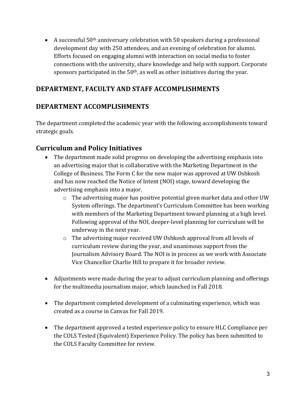• A successful  $50<sup>th</sup>$  anniversary celebration with 50 speakers during a professional development day with 250 attendees, and an evening of celebration for alumni. Efforts focused on engaging alumni with interaction on social media to foster connections with the university, share knowledge and help with support. Corporate sponsors participated in the  $50<sup>th</sup>$ , as well as other initiatives during the year.

# DEPARTMENT, FACULTY AND STAFF ACCOMPLISHMENTS

# **DEPARTMENT ACCOMPLISHMENTS**

The department completed the academic year with the following accomplishments toward strategic goals.

# **Curriculum and Policy Initiatives**

- The department made solid progress on developing the advertising emphasis into an advertising major that is collaborative with the Marketing Department in the College of Business. The Form C for the new major was approved at UW Oshkosh and has now reached the Notice of Intent (NOI) stage, toward developing the advertising emphasis into a major.
	- $\circ$  The advertising major has positive potential given market data and other UW System offerings. The department's Curriculum Committee has been working with members of the Marketing Department toward planning at a high level. Following approval of the NOI, deeper-level planning for curriculum will be underway in the next year.
	- $\circ$  The advertising major received UW Oshkosh approval from all levels of curriculum review during the year, and unanimous support from the Journalism Advisory Board. The NOI is in process as we work with Associate Vice Chancellor Charlie Hill to prepare it for broader review.
- Adjustments were made during the year to adjust curriculum planning and offerings for the multimedia journalism major, which launched in Fall 2018.
- The department completed development of a culminating experience, which was created as a course in Canvas for Fall 2019.
- The department approved a tested experience policy to ensure HLC Compliance per the COLS Tested (Equivalent) Experience Policy. The policy has been submitted to the COLS Faculty Committee for review.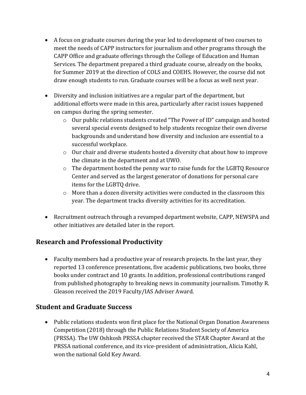- A focus on graduate courses during the year led to development of two courses to meet the needs of CAPP instructors for journalism and other programs through the CAPP Office and graduate offerings through the College of Education and Human Services. The department prepared a third graduate course, already on the books, for Summer 2019 at the direction of COLS and COEHS. However, the course did not draw enough students to run. Graduate courses will be a focus as well next year.
- Diversity and inclusion initiatives are a regular part of the department, but additional efforts were made in this area, particularly after racist issues happened on campus during the spring semester.
	- $\circ$  Our public relations students created "The Power of ID" campaign and hosted several special events designed to help students recognize their own diverse backgrounds and understand how diversity and inclusion are essential to a successful workplace.
	- $\circ$  Our chair and diverse students hosted a diversity chat about how to improve the climate in the department and at UWO.
	- $\circ$  The department hosted the penny war to raise funds for the LGBTO Resource Center and served as the largest generator of donations for personal care items for the LGBTQ drive.
	- $\circ$  More than a dozen diversity activities were conducted in the classroom this year. The department tracks diversity activities for its accreditation.
- Recruitment outreach through a revamped department website, CAPP, NEWSPA and other initiatives are detailed later in the report.

# **Research and Professional Productivity**

• Faculty members had a productive year of research projects. In the last year, they reported 13 conference presentations, five academic publications, two books, three books under contract and 10 grants. In addition, professional contributions ranged from published photography to breaking news in community journalism. Timothy R. Gleason received the 2019 Faculty/IAS Adviser Award.

# **Student and Graduate Success**

• Public relations students won first place for the National Organ Donation Awareness Competition (2018) through the Public Relations Student Society of America (PRSSA). The UW Oshkosh PRSSA chapter received the STAR Chapter Award at the PRSSA national conference, and its vice-president of administration, Alicia Kahl, won the national Gold Key Award.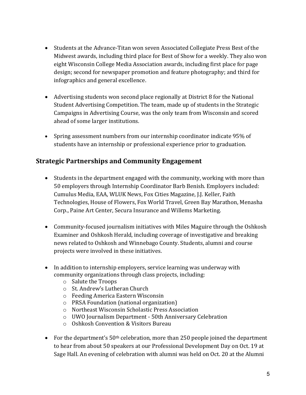- Students at the Advance-Titan won seven Associated Collegiate Press Best of the Midwest awards, including third place for Best of Show for a weekly. They also won eight Wisconsin College Media Association awards, including first place for page design; second for newspaper promotion and feature photography; and third for infographics and general excellence.
- Advertising students won second place regionally at District 8 for the National Student Advertising Competition. The team, made up of students in the Strategic Campaigns in Advertising Course, was the only team from Wisconsin and scored ahead of some larger institutions.
- Spring assessment numbers from our internship coordinator indicate 95% of students have an internship or professional experience prior to graduation.

# **Strategic Partnerships and Community Engagement**

- Students in the department engaged with the community, working with more than 50 employers through Internship Coordinator Barb Benish. Employers included: Cumulus Media, EAA, WLUK News, Fox Cities Magazine, J.J. Keller, Faith Technologies, House of Flowers, Fox World Travel, Green Bay Marathon, Menasha Corp., Paine Art Center, Secura Insurance and Willems Marketing.
- Community-focused journalism initiatives with Miles Maguire through the Oshkosh Examiner and Oshkosh Herald, including coverage of investigative and breaking news related to Oshkosh and Winnebago County. Students, alumni and course projects were involved in these initiatives.
- In addition to internship employers, service learning was underway with community organizations through class projects, including:
	- $\circ$  Salute the Troops
	- o St. Andrew's Lutheran Church
	- o Feeding America Eastern Wisconsin
	- $\circ$  PRSA Foundation (national organization)
	- o Northeast Wisconsin Scholastic Press Association
	- $\circ$  UWO Journalism Department 50th Anniversary Celebration
	- o Oshkosh Convention & Visitors Bureau
- For the department's  $50<sup>th</sup>$  celebration, more than 250 people joined the department to hear from about 50 speakers at our Professional Development Day on Oct. 19 at Sage Hall. An evening of celebration with alumni was held on Oct. 20 at the Alumni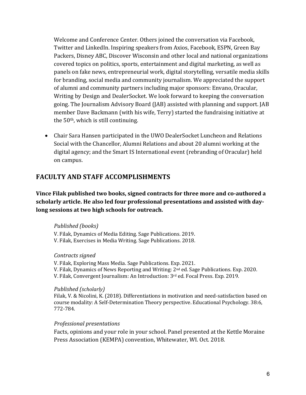Welcome and Conference Center. Others joined the conversation via Facebook, Twitter and LinkedIn. Inspiring speakers from Axios, Facebook, ESPN, Green Bay Packers, Disney ABC, Discover Wisconsin and other local and national organizations covered topics on politics, sports, entertainment and digital marketing, as well as panels on fake news, entrepreneurial work, digital storytelling, versatile media skills for branding, social media and community journalism. We appreciated the support of alumni and community partners including major sponsors: Envano, Oracular, Writing by Design and DealerSocket. We look forward to keeping the conversation going. The Journalism Advisory Board (JAB) assisted with planning and support. JAB member Dave Backmann (with his wife, Terry) started the fundraising initiative at the  $50<sup>th</sup>$ , which is still continuing.

• Chair Sara Hansen participated in the UWO DealerSocket Luncheon and Relations Social with the Chancellor, Alumni Relations and about 20 alumni working at the digital agency; and the Smart IS International event (rebranding of Oracular) held on campus.

## **FACULTY AND STAFF ACCOMPLISHMENTS**

**Vince Filak published two books, signed contracts for three more and co-authored a** scholarly article. He also led four professional presentations and assisted with daylong sessions at two high schools for outreach.

#### *Published (books)*

V. Filak, Dynamics of Media Editing. Sage Publications. 2019. V. Filak, Exercises in Media Writing. Sage Publications. 2018.

#### *Contracts signed*

V. Filak, Exploring Mass Media. Sage Publications. Exp. 2021. V. Filak, Dynamics of News Reporting and Writing: 2<sup>nd</sup> ed. Sage Publications. Exp. 2020. V. Filak, Convergent Journalism: An Introduction: 3rd ed. Focal Press. Exp. 2019.

#### *Published (scholarly)*

Filak, V. & Nicolini, K. (2018). Differentiations in motivation and need-satisfaction based on course modality: A Self-Determination Theory perspective. Educational Psychology. 38:6, 772-784.

#### *Professional presentations*

Facts, opinions and your role in your school. Panel presented at the Kettle Moraine Press Association (KEMPA) convention, Whitewater, WI. Oct. 2018.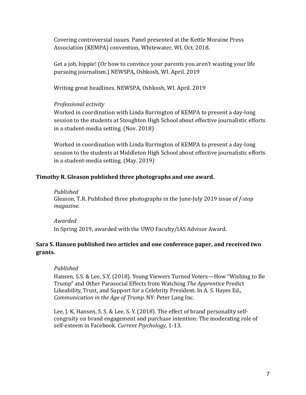Covering controversial issues. Panel presented at the Kettle Moraine Press Association (KEMPA) convention, Whitewater, WI. Oct. 2018.

Get a job, hippie! (Or how to convince your parents you aren't wasting your life pursuing journalism.) NEWSPA, Oshkosh, WI. April. 2019

Writing great headlines. NEWSPA, Oshkosh, WI. April. 2019

#### *Professional activity*

Worked in coordination with Linda Barrington of KEMPA to present a day-long session to the students at Stoughton High School about effective journalistic efforts in a student-media setting.  $(Nov. 2018)$ 

Worked in coordination with Linda Barrington of KEMPA to present a day-long session to the students at Middleton High School about effective journalistic efforts in a student-media setting.  $(May. 2019)$ 

#### Timothy R. Gleason published three photographs and one award.

#### *Published*

Gleason, T.R. Published three photographs in the June-July 2019 issue of *f-stop magazine.*

#### *Awarded*

In Spring 2019, awarded with the UWO Faculty/IAS Advisor Award.

#### **Sara S. Hansen published two articles and one conference paper, and received two grants.**

#### *Published*

Hansen, S.S. & Lee, S.Y. (2018). Young Viewers Turned Voters—How "Wishing to Be Trump" and Other Parasocial Effects from Watching The Apprentice Predict Likeability, Trust, and Support for a Celebrity President. In A. S. Hayes Ed., *Communication in the Age of Trump*. NY: Peter Lang Inc.

Lee, J. K, Hansen, S. S. & Lee, S. Y. (2018). The effect of brand personality selfcongruity on brand engagement and purchase intention: The moderating role of self-esteem in Facebook. *Current Psychology*, 1-13.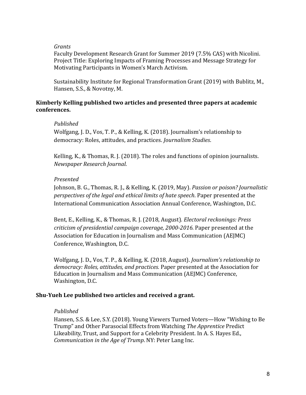#### *Grants*

Faculty Development Research Grant for Summer 2019 (7.5% CAS) with Nicolini. Project Title: Exploring Impacts of Framing Processes and Message Strategy for Motivating Participants in Women's March Activism.

Sustainability Institute for Regional Transformation Grant (2019) with Bublitz, M., Hansen, S.S., & Novotny, M.

#### **Kimberly Kelling published two articles and presented three papers at academic conferences.**

#### *Published*

Wolfgang, J. D., Vos, T. P., & Kelling, K. (2018). Journalism's relationship to democracy: Roles, attitudes, and practices. *Journalism Studies*.

Kelling, K., & Thomas, R. J. (2018). The roles and functions of opinion journalists. *Newspaper Research Journal*. 

#### *Presented*

Johnson, B. G., Thomas, R. J., & Kelling, K. (2019, May). *Passion or poison? Journalistic perspectives of the legal and ethical limits of hate speech.* Paper presented at the International Communication Association Annual Conference, Washington, D.C.

Bent, E., Kelling, K., & Thomas, R. J. (2018, August). *Electoral reckonings: Press criticism of presidential campaign coverage, 2000-2016.* Paper presented at the Association for Education in Journalism and Mass Communication (AEJMC) Conference, Washington, D.C.

Wolfgang, J. D., Vos, T. P., & Kelling, K. (2018, August). *Journalism's relationship to* democracy: Roles, attitudes, and practices. Paper presented at the Association for Education in Journalism and Mass Communication (AEJMC) Conference, Washington, D.C.

#### **Shu-Yueh Lee published two articles and received a grant.**

#### *Published*

Hansen, S.S. & Lee, S.Y. (2018). Young Viewers Turned Voters—How "Wishing to Be Trump" and Other Parasocial Effects from Watching *The Apprentice* Predict Likeability, Trust, and Support for a Celebrity President. In A. S. Hayes Ed., *Communication in the Age of Trump.* NY: Peter Lang Inc.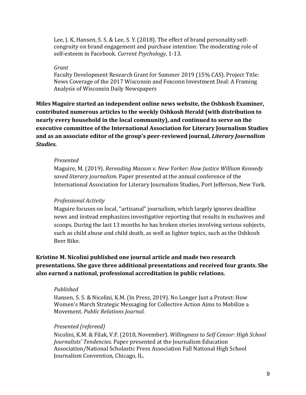Lee, J. K. Hansen, S. S. & Lee, S. Y. (2018). The effect of brand personality selfcongruity on brand engagement and purchase intention: The moderating role of self-esteem in Facebook. *Current Psychology*, 1-13.

#### *Grant*

Faculty Development Research Grant for Summer 2019 (15% CAS). Project Title: News Coverage of the 2017 Wisconsin and Foxconn Investment Deal: A Framing Analysis of Wisconsin Daily Newspapers

Miles Maguire started an independent online news website, the Oshkosh Examiner, contributed numerous articles to the weekly Oshkosh Herald (with distribution to **nearly every household in the local community), and continued to serve on the** executive committee of the International Association for Literary Journalism Studies and as an associate editor of the group's peer-reviewed journal, *Literary Journalism Studies.*

#### *Presented*

Maguire, M. (2019). *Rereading Masson v. New Yorker: How Justice William Kennedy saved literary journalism.* Paper presented at the annual conference of the International Association for Literary Journalism Studies, Port Jefferson, New York.

#### *Professional Activity*

Maguire focuses on local, "artisanal" journalism, which largely ignores deadline news and instead emphasizes investigative reporting that results in exclusives and scoops. During the last 13 months he has broken stories involving serious subjects, such as child abuse and child death, as well as lighter topics, such as the Oshkosh Beer Bike.

**Kristine M. Nicolini published one journal article and made two research** presentations. She gave three additional presentations and received four grants. She also earned a national, professional accreditation in public relations.

#### *Published*

Hansen, S. S. & Nicolini, K.M. (In Press, 2019). No Longer Just a Protest: How Women's March Strategic Messaging for Collective Action Aims to Mobilize a Movement. *Public Relations Journal.*

#### *Presented (refereed)*

Nicolini, K.M. & Filak, V.F. (2018, November). Willingness to Self Censor: High School Journalists' Tendencies. Paper presented at the Journalism Education Association/National Scholastic Press Association Fall National High School Journalism Convention, Chicago, IL.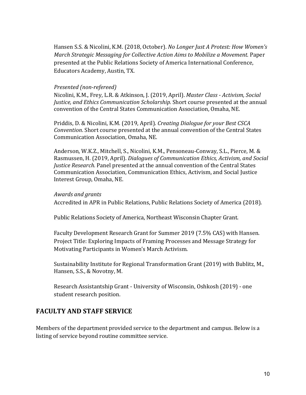Hansen S.S. & Nicolini, K.M. (2018, October). *No Longer Just A Protest: How Women's March Strategic Messaging for Collective Action Aims to Mobilize a Movement. Paper* presented at the Public Relations Society of America International Conference, Educators Academy, Austin, TX.

#### *Presented (non-refereed)*

Nicolini, K.M., Frey, L.R. & Atkinson, J. (2019, April). *Master Class - Activism, Social Justice, and Ethics Communication Scholarship.* Short course presented at the annual convention of the Central States Communication Association, Omaha, NE.

Priddis, D. & Nicolini, K.M. (2019, April). *Creating Dialogue for your Best CSCA Convention*. Short course presented at the annual convention of the Central States Communication Association, Omaha, NE.

Anderson, W.K.Z., Mitchell, S., Nicolini, K.M., Pensoneau-Conway, S.L., Pierce, M. & Rasmussen, H. (2019, April). *Dialogues of Communication Ethics, Activism, and Social Justice Research.* Panel presented at the annual convention of the Central States Communication Association, Communication Ethics, Activism, and Social Justice Interest Group, Omaha, NE.

#### *Awards and grants*

Accredited in APR in Public Relations, Public Relations Society of America (2018).

Public Relations Society of America, Northeast Wisconsin Chapter Grant.

Faculty Development Research Grant for Summer 2019 (7.5% CAS) with Hansen. Project Title: Exploring Impacts of Framing Processes and Message Strategy for Motivating Participants in Women's March Activism.

Sustainability Institute for Regional Transformation Grant (2019) with Bublitz, M., Hansen, S.S., & Novotny, M.

Research Assistantship Grant - University of Wisconsin, Oshkosh (2019) - one student research position.

# **FACULTY AND STAFF SERVICE**

Members of the department provided service to the department and campus. Below is a listing of service beyond routine committee service.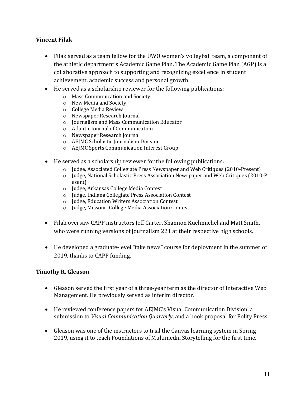#### **Vincent Filak**

- Filak served as a team fellow for the UWO women's volleyball team, a component of the athletic department's Academic Game Plan. The Academic Game Plan (AGP) is a collaborative approach to supporting and recognizing excellence in student achievement, academic success and personal growth.
- $\bullet$  He served as a scholarship reviewer for the following publications:
	- o Mass Communication and Society
	- o New Media and Society
	- $\circ$  College Media Review
	- o Newspaper Research Journal
	- o Journalism and Mass Communication Educator
	- o Atlantic Journal of Communication
	- o Newspaper Research Journal
	- o AEJMC Scholastic Journalism Division
	- o AEJMC Sports Communication Interest Group
- He served as a scholarship reviewer for the following publications:
	- $\circ$  Judge, Associated Collegiate Press Newspaper and Web Critiques (2010-Present)
	- o Judge, National Scholastic Press Association Newspaper and Web Critiques (2010-Pr esent)
	- o Judge, Arkansas College Media Contest
	- o Judge, Indiana Collegiate Press Association Contest
	- o Judge, Education Writers Association Contest
	- o Judge, Missouri College Media Association Contest
- Filak oversaw CAPP instructors Jeff Carter, Shannon Kuehmichel and Matt Smith, who were running versions of Journalism 221 at their respective high schools.
- He developed a graduate-level "fake news" course for deployment in the summer of 2019, thanks to CAPP funding.

#### **Timothy R. Gleason**

- Gleason served the first year of a three-year term as the director of Interactive Web Management. He previously served as interim director.
- He reviewed conference papers for AEJMC's Visual Communication Division, a submission to *Visual Communication Quarterly*, and a book proposal for Polity Press.
- Gleason was one of the instructors to trial the Canvas learning system in Spring 2019, using it to teach Foundations of Multimedia Storytelling for the first time.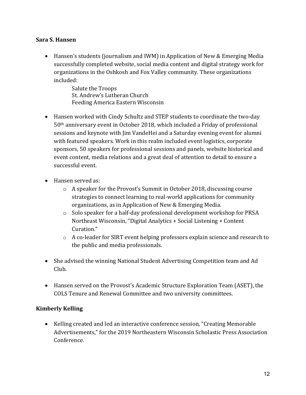#### **Sara S. Hansen**

• Hansen's students (journalism and IWM) in Application of New & Emerging Media successfully completed website, social media content and digital strategy work for organizations in the Oshkosh and Fox Valley community. These organizations included:

> Salute the Troops St. Andrew's Lutheran Church Feeding America Eastern Wisconsin

- Hansen worked with Cindy Schultz and STEP students to coordinate the two-day  $50<sup>th</sup>$  anniversary event in October 2018, which included a Friday of professional sessions and keynote with Jim VandeHei and a Saturday evening event for alumni with featured speakers. Work in this realm included event logistics, corporate sponsors, 50 speakers for professional sessions and panels, website historical and event content, media relations and a great deal of attention to detail to ensure a successful event.
- Hansen served as:
	- $\circ$  A speaker for the Provost's Summit in October 2018, discussing course strategies to connect learning to real-world applications for community organizations, as in Application of New & Emerging Media.
	- $\circ$  Solo speaker for a half-day professional development workshop for PRSA Northeast Wisconsin, "Digital Analytics + Social Listening + Content Curation."
	- $\circ$  A co-leader for SIRT event helping professors explain science and research to the public and media professionals.
- She advised the winning National Student Advertising Competition team and Ad Club.
- Hansen served on the Provost's Academic Structure Exploration Team (ASET), the COLS Tenure and Renewal Committee and two university committees.

#### **Kimberly Kelling**

• Kelling created and led an interactive conference session, "Creating Memorable Advertisements," for the 2019 Northeastern Wisconsin Scholastic Press Association Conference.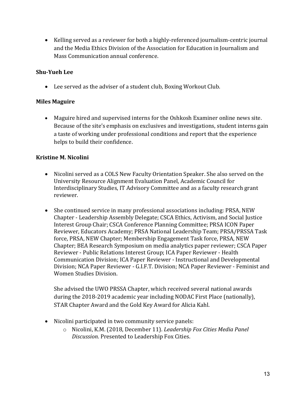• Kelling served as a reviewer for both a highly-referenced journalism-centric journal and the Media Ethics Division of the Association for Education in Journalism and Mass Communication annual conference.

#### **Shu-Yueh Lee**

 $\bullet$  Lee served as the adviser of a student club, Boxing Workout Club.

#### **Miles Maguire**

• Maguire hired and supervised interns for the Oshkosh Examiner online news site. Because of the site's emphasis on exclusives and investigations, student interns gain a taste of working under professional conditions and report that the experience helps to build their confidence.

#### **Kristine M. Nicolini**

- Nicolini served as a COLS New Faculty Orientation Speaker. She also served on the University Resource Alignment Evaluation Panel, Academic Council for Interdisciplinary Studies, IT Advisory Committee and as a faculty research grant reviewer.
- She continued service in many professional associations including: PRSA, NEW Chapter - Leadership Assembly Delegate; CSCA Ethics, Activism, and Social Justice Interest Group Chair; CSCA Conference Planning Committee; PRSA ICON Paper Reviewer, Educators Academy; PRSA National Leadership Team; PRSA/PRSSA Task force, PRSA, NEW Chapter; Membership Engagement Task force, PRSA, NEW Chapter; BEA Research Symposium on media analytics paper reviewer; CSCA Paper Reviewer - Public Relations Interest Group; ICA Paper Reviewer - Health Communication Division; ICA Paper Reviewer - Instructional and Developmental Division; NCA Paper Reviewer - G.I.F.T. Division; NCA Paper Reviewer - Feminist and Women Studies Division.

She advised the UWO PRSSA Chapter, which received several national awards during the 2018-2019 academic year including NODAC First Place (nationally), STAR Chapter Award and the Gold Key Award for Alicia Kahl.

- Nicolini participated in two community service panels:
	- o Nicolini, K.M. (2018, December 11). *Leadership Fox Cities Media Panel Discussion*. Presented to Leadership Fox Cities.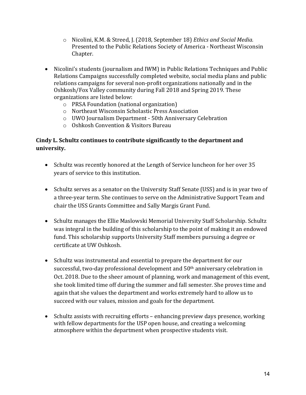- o Nicolini, K.M. & Streed, J. (2018, September 18) *Ethics and Social Media.* Presented to the Public Relations Society of America - Northeast Wisconsin Chapter.
- Nicolini's students (journalism and IWM) in Public Relations Techniques and Public Relations Campaigns successfully completed website, social media plans and public relations campaigns for several non-profit organizations nationally and in the Oshkosh/Fox Valley community during Fall 2018 and Spring 2019. These organizations are listed below:
	- $\circ$  PRSA Foundation (national organization)
	- o Northeast Wisconsin Scholastic Press Association
	- $\circ$  UWO Journalism Department 50th Anniversary Celebration
	- $\circ$  Oshkosh Convention & Visitors Bureau

# Cindy L. Schultz continues to contribute significantly to the department and **university.**

- Schultz was recently honored at the Length of Service luncheon for her over 35 years of service to this institution.
- Schultz serves as a senator on the University Staff Senate (USS) and is in year two of a three-year term. She continues to serve on the Administrative Support Team and chair the USS Grants Committee and Sally Margis Grant Fund.
- Schultz manages the Ellie Maslowski Memorial University Staff Scholarship. Schultz was integral in the building of this scholarship to the point of making it an endowed fund. This scholarship supports University Staff members pursuing a degree or certificate at UW Oshkosh.
- Schultz was instrumental and essential to prepare the department for our successful, two-day professional development and 50<sup>th</sup> anniversary celebration in Oct. 2018. Due to the sheer amount of planning, work and management of this event, she took limited time off during the summer and fall semester. She proves time and again that she values the department and works extremely hard to allow us to succeed with our values, mission and goals for the department.
- Schultz assists with recruiting efforts enhancing preview days presence, working with fellow departments for the USP open house, and creating a welcoming atmosphere within the department when prospective students visit.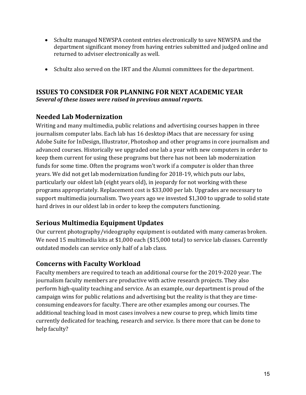- Schultz managed NEWSPA contest entries electronically to save NEWSPA and the department significant money from having entries submitted and judged online and returned to adviser electronically as well.
- Schultz also served on the IRT and the Alumni committees for the department.

# **ISSUES TO CONSIDER FOR PLANNING FOR NEXT ACADEMIC YEAR** *Several of these issues were raised in previous annual reports.*

# **Needed Lab Modernization**

Writing and many multimedia, public relations and advertising courses happen in three journalism computer labs. Each lab has 16 desktop iMacs that are necessary for using Adobe Suite for InDesign, Illustrator, Photoshop and other programs in core journalism and advanced courses. Historically we upgraded one lab a year with new computers in order to keep them current for using these programs but there has not been lab modernization funds for some time. Often the programs won't work if a computer is older than three years. We did not get lab modernization funding for 2018-19, which puts our labs, particularly our oldest lab (eight years old), in jeopardy for not working with these programs appropriately. Replacement cost is \$33,000 per lab. Upgrades are necessary to support multimedia journalism. Two years ago we invested \$1,300 to upgrade to solid state hard drives in our oldest lab in order to keep the computers functioning.

# **Serious Multimedia Equipment Updates**

Our current photography/videography equipment is outdated with many cameras broken. We need 15 multimedia kits at \$1,000 each (\$15,000 total) to service lab classes. Currently outdated models can service only half of a lab class.

# **Concerns with Faculty Workload**

Faculty members are required to teach an additional course for the 2019-2020 year. The journalism faculty members are productive with active research projects. They also perform high-quality teaching and service. As an example, our department is proud of the campaign wins for public relations and advertising but the reality is that they are timeconsuming endeavors for faculty. There are other examples among our courses. The additional teaching load in most cases involves a new course to prep, which limits time currently dedicated for teaching, research and service. Is there more that can be done to help faculty?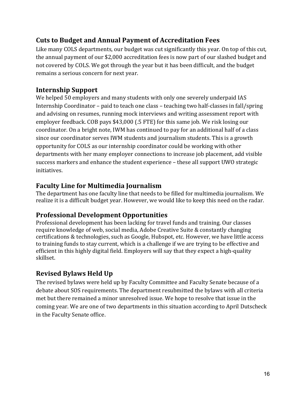# **Cuts to Budget and Annual Payment of Accreditation Fees**

Like many COLS departments, our budget was cut significantly this year. On top of this cut, the annual payment of our \$2,000 accreditation fees is now part of our slashed budget and not covered by COLS. We got through the year but it has been difficult, and the budget remains a serious concern for next year.

# **Internship Support**

We helped 50 employers and many students with only one severely underpaid IAS Internship Coordinator – paid to teach one class – teaching two half-classes in fall/spring and advising on resumes, running mock interviews and writing assessment report with employer feedback.  $COB$  pays \$43,000 (.5 FTE) for this same job. We risk losing our coordinator. On a bright note, IWM has continued to pay for an additional half of a class since our coordinator serves IWM students and journalism students. This is a growth opportunity for COLS as our internship coordinator could be working with other departments with her many employer connections to increase job placement, add visible success markers and enhance the student experience – these all support UWO strategic initiatives.

# **Faculty Line for Multimedia Journalism**

The department has one faculty line that needs to be filled for multimedia journalism. We realize it is a difficult budget year. However, we would like to keep this need on the radar.

# **Professional Development Opportunities**

Professional development has been lacking for travel funds and training. Our classes require knowledge of web, social media, Adobe Creative Suite & constantly changing certifications & technologies, such as Google, Hubspot, etc. However, we have little access to training funds to stay current, which is a challenge if we are trying to be effective and efficient in this highly digital field. Employers will say that they expect a high-quality skillset.

# **Revised Bylaws Held Up**

The revised bylaws were held up by Faculty Committee and Faculty Senate because of a debate about SOS requirements. The department resubmitted the bylaws with all criteria met but there remained a minor unresolved issue. We hope to resolve that issue in the coming year. We are one of two departments in this situation according to April Dutscheck in the Faculty Senate office.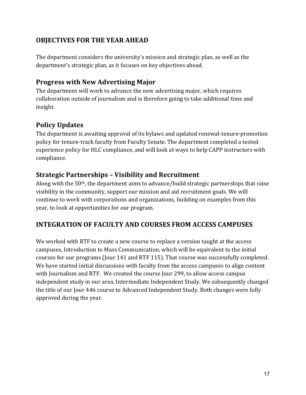# **OBJECTIVES FOR THE YEAR AHEAD**

The department considers the university's mission and strategic plan, as well as the department's strategic plan, as it focuses on key objectives ahead.

# **Progress with New Advertising Major**

The department will work to advance the new advertising major, which requires collaboration outside of journalism and is therefore going to take additional time and insight.

# **Policy Updates**

The department is awaiting approval of its bylaws and updated renewal-tenure-promotion policy for tenure-track faculty from Faculty Senate. The department completed a tested experience policy for HLC compliance, and will look at ways to help CAPP instructors with compliance.

# **Strategic Partnerships - Visibility and Recruitment**

Along with the  $50<sup>th</sup>$ , the department aims to advance/build strategic partnerships that raise visibility in the community, support our mission and aid recruitment goals. We will continue to work with corporations and organizations, building on examples from this year, to look at opportunities for our program.

# **INTEGRATION OF FACULTY AND COURSES FROM ACCESS CAMPUSES**

We worked with RTF to create a new course to replace a version taught at the access campuses, Introduction to Mass Communication, which will be equivalent to the initial courses for our programs (Jour 141 and RTF 115). That course was successfully completed. We have started initial discussions with faculty from the access campuses to align content with Journalism and RTF. We created the course Jour 299, to allow access campus independent study in our area, Intermediate Independent Study. We subsequently changed the title of our Jour 446 course to Advanced Independent Study. Both changes were fully approved during the year.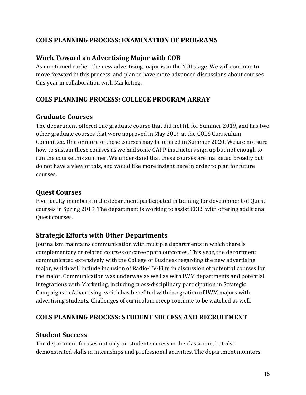# **COLS PLANNING PROCESS: EXAMINATION OF PROGRAMS**

# **Work Toward an Advertising Major with COB**

As mentioned earlier, the new advertising major is in the NOI stage. We will continue to move forward in this process, and plan to have more advanced discussions about courses this year in collaboration with Marketing.

# **COLS PLANNING PROCESS: COLLEGE PROGRAM ARRAY**

# **Graduate Courses**

The department offered one graduate course that did not fill for Summer 2019, and has two other graduate courses that were approved in May 2019 at the COLS Curriculum Committee. One or more of these courses may be offered in Summer 2020. We are not sure how to sustain these courses as we had some CAPP instructors sign up but not enough to run the course this summer. We understand that these courses are marketed broadly but do not have a view of this, and would like more insight here in order to plan for future courses. 

# **Quest Courses**

Five faculty members in the department participated in training for development of Quest courses in Spring 2019. The department is working to assist COLS with offering additional Quest courses.

# **Strategic Efforts with Other Departments**

Journalism maintains communication with multiple departments in which there is complementary or related courses or career path outcomes. This year, the department communicated extensively with the College of Business regarding the new advertising major, which will include inclusion of Radio-TV-Film in discussion of potential courses for the major. Communication was underway as well as with IWM departments and potential integrations with Marketing, including cross-disciplinary participation in Strategic Campaigns in Advertising, which has benefited with integration of IWM majors with advertising students. Challenges of curriculum creep continue to be watched as well.

# **COLS PLANNING PROCESS: STUDENT SUCCESS AND RECRUITMENT**

# **Student Success**

The department focuses not only on student success in the classroom, but also demonstrated skills in internships and professional activities. The department monitors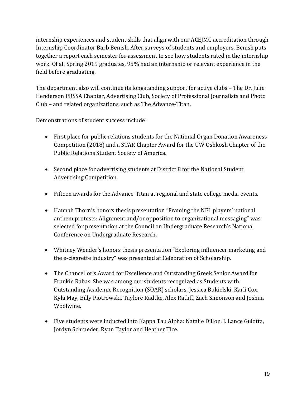internship experiences and student skills that align with our ACEJMC accreditation through Internship Coordinator Barb Benish. After surveys of students and employers, Benish puts together a report each semester for assessment to see how students rated in the internship work. Of all Spring 2019 graduates, 95% had an internship or relevant experience in the field before graduating.

The department also will continue its longstanding support for active clubs – The Dr. Julie Henderson PRSSA Chapter, Advertising Club, Society of Professional Journalists and Photo Club - and related organizations, such as The Advance-Titan.

Demonstrations of student success include:

- First place for public relations students for the National Organ Donation Awareness Competition (2018) and a STAR Chapter Award for the UW Oshkosh Chapter of the Public Relations Student Society of America.
- Second place for advertising students at District 8 for the National Student Advertising Competition.
- Fifteen awards for the Advance-Titan at regional and state college media events.
- Hannah Thorn's honors thesis presentation "Framing the NFL players' national anthem protests: Alignment and/or opposition to organizational messaging" was selected for presentation at the Council on Undergraduate Research's National Conference on Undergraduate Research.
- Whitney Wender's honors thesis presentation "Exploring influencer marketing and the e-cigarette industry" was presented at Celebration of Scholarship.
- The Chancellor's Award for Excellence and Outstanding Greek Senior Award for Frankie Rabas. She was among our students recognized as Students with Outstanding Academic Recognition (SOAR) scholars: Jessica Bukielski, Karli Cox, Kyla May, Billy Piotrowski, Taylore Radtke, Alex Ratliff, Zach Simonson and Joshua Woolwine.
- Five students were inducted into Kappa Tau Alpha: Natalie Dillon, J. Lance Gulotta, Jordyn Schraeder, Ryan Taylor and Heather Tice.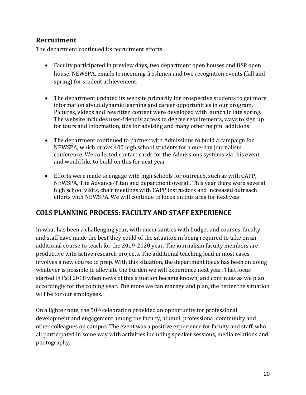# **Recruitment**

The department continued its recruitment efforts:

- Faculty participated in preview days, two department open houses and USP open house, NEWSPA, emails to incoming freshmen and two recognition events (fall and spring) for student achievement.
- The department updated its website primarily for prospective students to get more information about dynamic learning and career opportunities in our program. Pictures, videos and rewritten content were developed with launch in late spring. The website includes user-friendly access to degree requirements, ways to sign up for tours and information, tips for advising and many other helpful additions.
- The department continued to partner with Admissions to build a campaign for NEWSPA, which draws 400 high school students for a one-day journalism conference. We collected contact cards for the Admissions systems via this event and would like to build on this for next year.
- Efforts were made to engage with high schools for outreach, such as with CAPP, NEWSPA, The Advance-Titan and department overall. This year there were several high school visits, chair meetings with CAPP instructors and increased outreach efforts with NEWSPA. We will continue to focus on this area for next year.

## **COLS PLANNING PROCESS: FACULTY AND STAFF EXPERIENCE**

In what has been a challenging year, with uncertainties with budget and courses, faculty and staff have made the best they could of the situation in being required to take on an additional course to teach for the 2019-2020 year. The journalism faculty members are productive with active research projects. The additional teaching load in most cases involves a new course to prep. With this situation, the department focus has been on doing whatever is possible to alleviate the burden we will experience next year. That focus started in Fall 2018 when news of this situation became known, and continues as we plan accordingly for the coming year. The more we can manage and plan, the better the situation will be for our employees.

On a lighter note, the  $50<sup>th</sup>$  celebration provided an opportunity for professional development and engagement among the faculty, alumni, professional community and other colleagues on campus. The event was a positive experience for faculty and staff, who all participated in some way with activities including speaker sessions, media relations and photography.